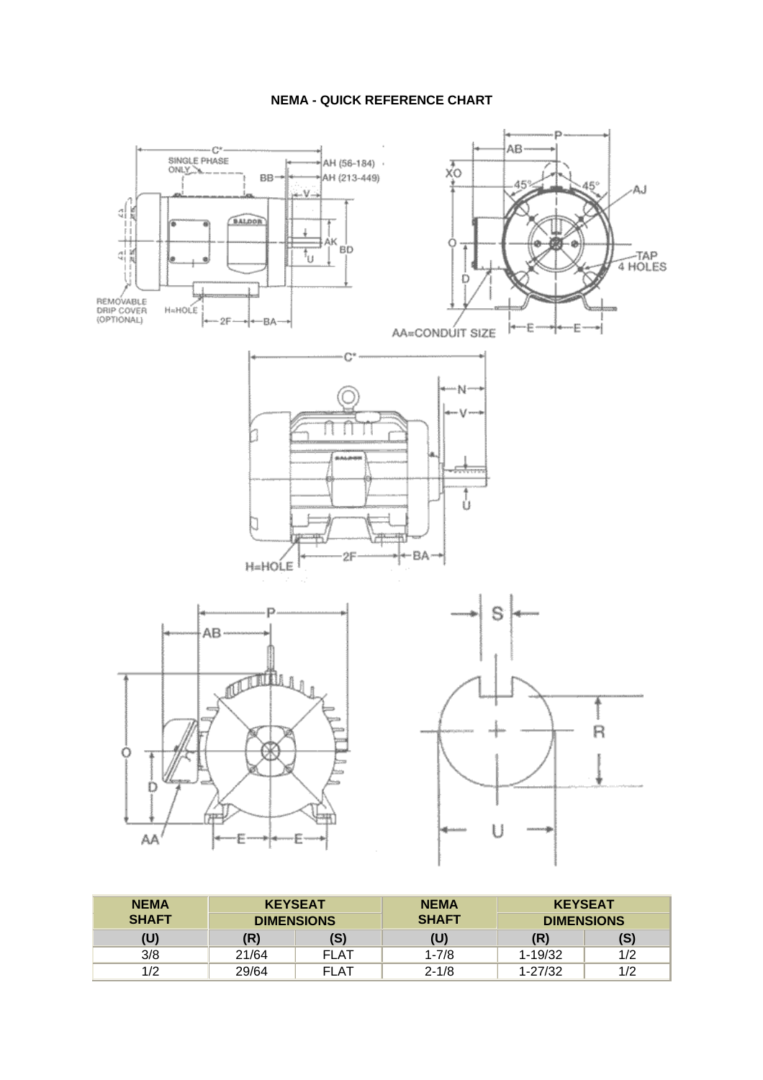## **NEMA - QUICK REFERENCE CHART**



| <b>NEMA</b>  | <b>KEYSEAT</b>    |             | <b>NEMA</b>  | <b>KEYSEAT</b>    |     |  |  |  |
|--------------|-------------------|-------------|--------------|-------------------|-----|--|--|--|
| <b>SHAFT</b> | <b>DIMENSIONS</b> |             | <b>SHAFT</b> | <b>DIMENSIONS</b> |     |  |  |  |
| (U)          | (R)               | (S)         | (U)          | (R)               | (S) |  |  |  |
| 3/8          | 21/64             | <b>FLAT</b> | $1 - 7/8$    | $1 - 19/32$       | 1/2 |  |  |  |
| 1/2          | 29/64             | <b>FLAT</b> | $2 - 1/8$    | $1 - 27/32$       | 1/2 |  |  |  |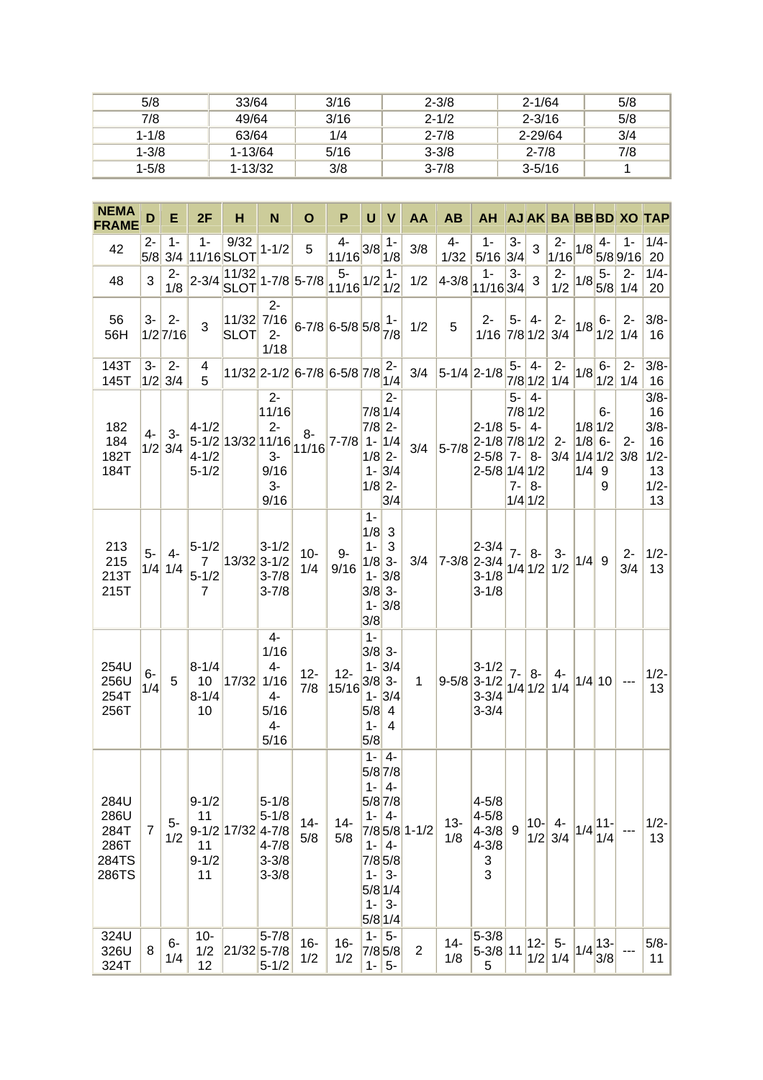| 5/8       | 33/64       | 3/16 | $2 - 3/8$ | $2 - 1/64$ | 5/8 |
|-----------|-------------|------|-----------|------------|-----|
| 7/8       | 49/64       | 3/16 | $2 - 1/2$ | $2 - 3/16$ | 5/8 |
| $1 - 1/8$ | 63/64       | 1/4  | $2 - 7/8$ | 2-29/64    | 3/4 |
| $1 - 3/8$ | $1 - 13/64$ | 5/16 | $3 - 3/8$ | $2 - 7/8$  | 7/8 |
| $1 - 5/8$ | $1 - 13/32$ | 3/8  | $3 - 7/8$ | $3 - 5/16$ |     |

| <b>NEMA</b><br><b>FRAME</b>                    | D              | Е                   | 2F                                                         | н                                                          | N                                                                          | O                                              | P                              | U                                                                | V                                                                           | AA               | <b>AB</b>       | AH AJAK BA BB BD XO TAP                                                    |                      |                                                      |                                |                                  |                      |                    |                                                                 |
|------------------------------------------------|----------------|---------------------|------------------------------------------------------------|------------------------------------------------------------|----------------------------------------------------------------------------|------------------------------------------------|--------------------------------|------------------------------------------------------------------|-----------------------------------------------------------------------------|------------------|-----------------|----------------------------------------------------------------------------|----------------------|------------------------------------------------------|--------------------------------|----------------------------------|----------------------|--------------------|-----------------------------------------------------------------|
| 42                                             | $2 -$<br>5/8   | $1 -$               | $1 -$                                                      | 9/32<br>3/4 11/16 SLOT                                     | $1 - 1/2$                                                                  | 5                                              | 4-<br>$\frac{11/16}{3/8}$ .    |                                                                  | $1 -$<br>1/8                                                                | 3/8              | 4-<br>1/32      | $1 -$<br>$5/16$ 3/4                                                        | $3-$                 | 3                                                    | $2 -$<br>$1/16$ <sup>1/8</sup> |                                  | 4-                   | 1-<br>5/8 9/16 20  | $1/4-$                                                          |
| 48                                             | 3              | $2-$<br>1/8         | $2 - 3/4$                                                  | 11/32<br>$\frac{ 11/32 }{SLOT}$ 1-7/8 5-7/8                |                                                                            |                                                | $5-$<br>$\frac{1}{11/16}$ 1/2. |                                                                  | $1 -$<br>1/2                                                                | 1/2              | $4 - 3/8$       | $1 -$<br>11/16 3/4                                                         | $3-$                 | 3                                                    | $2-$<br>1/2                    | 1/8                              | $5-$                 | $2-$<br>$5/8$ 1/4  | $1/4 -$<br>20                                                   |
| 56<br>56H                                      | $3-$           | $2 -$<br>$1/2$ 7/16 | 3                                                          | 11/32<br><b>SLOT</b>                                       | $2 -$<br>$2 -$<br>1/18                                                     | $\frac{7}{16}$ 6-7/8 6-5/8 5/8 $\frac{1}{7/8}$ |                                |                                                                  |                                                                             | 1/2              | 5               | $2-$<br>$1/16$ 7/8 $1/2$                                                   | $5-$                 | 4-                                                   | $2-$<br>3/4                    | 1/8                              | 6-                   | $2 -$<br>$1/2$ 1/4 | $3/8 -$<br>16                                                   |
| 143T<br>145T                                   | 3-<br>1/2      | $2 -$<br>3/4        | 4<br>5                                                     | $ 11/32 2$ -1/2 $ 6$ -7/8 $ 6$ -5/8 $ 7/8 $ 1/4 $ 7/4 $    |                                                                            |                                                |                                |                                                                  |                                                                             | 3/4              | $ 5-1/4 2-1/8 $ |                                                                            | $5-$                 | 4-                                                   | $2-$<br>7/8 1/2 1/4            | 1/8                              | $6-$                 | $2 -$<br>$1/2$ 1/4 | $3/8 -$<br>16                                                   |
| 182<br>184<br>182T<br>184T                     | 4-<br>1/2      | $3-$<br>3/4         | $4 - 1/2$<br>$4 - 1/2$<br>$5 - 1/2$                        | $\frac{5-1}{2}$ 13/32 11/16 $\frac{8}{11/16}$ 7-7/8 1- 1/4 | $2 -$<br>11/16<br>$2-$<br>$3-$<br>9/16<br>$3-$<br>9/16                     | $8-$                                           |                                | $7/8$ 1/4<br>$7/8$ 2-<br>$1/8$ 2-<br>$1/8$ 2-                    | $2 -$<br>$1 - 3/4$<br>3/4                                                   | 3/4              | $5 - 7/8$       | $2 - 1/8$ 5-<br>$2 - 1/8$ 7/8 1/2<br>$2 - 5/8$<br>$2 - 5/8$ 1/4 1/2        | 5-<br>$7 -$<br>$7 -$ | $4-$<br>$7/8$ 1/2<br>4-<br>8-<br>$8-$<br>$1/4$ $1/2$ | $2 -$<br>3/4                   | $1/8$ 1/2<br>$1/8$ 6-<br>$1/4$ 9 | 6-<br>$1/4$ 1/2<br>9 | $2 -$<br>3/8       | $3/8 -$<br>16<br>$3/8-$<br>16<br>$1/2 -$<br>13<br>$1/2 -$<br>13 |
| 213<br>215<br>213T<br>215T                     | $5 -$<br>1/4   | $4-$<br>1/4         | $5 - 1/2$<br>$\overline{7}$<br>$5 - 1/2$<br>$\overline{7}$ | $13/32$ 3-1/2                                              | $3 - 1/2$<br>$3 - 7/8$<br>$3 - 7/8$                                        | $10 -$<br>1/4                                  | 9-<br>9/16                     | $1 -$<br>$1/8$ 3<br>$1 - 3$<br>$1/8$ 3-<br>$3/8$ 3-<br>3/8       | $1 - 3/8$<br>$1 - 3/8$                                                      | 3/4              |                 | $2 - 3/4$<br>$7 - 3/8$ 2-3/4 $1/4$ $1/2$<br>3-1/8 $1/4$ $1/2$<br>$3 - 1/8$ | $7 -$                | $8-$                                                 | $3-$<br>1/2                    | $1/4$ 9                          |                      | $2 -$<br>3/4       | $1/2-$<br>13                                                    |
| 254U<br>256U<br>254T<br>256T                   | 6-<br>1/4      | $5^{\circ}$         | $8 - 1/4$<br>10<br>$8 - 1/4$<br>10                         | 17/32                                                      | $4-$<br>1/16<br>$4-$<br>1/16<br>$4-$<br>5/16<br>$4-$<br>5/16               | $12 -$<br>7/8                                  | $12 -$<br>15/16                | $1 -$<br>$3/8$ 3-<br>$3/8$ 3-<br>$5/8$ 4<br>$1 - 4$<br>5/8       | $1 - 3/4$<br>$1 - 3/4$                                                      | $\mathbf 1$      |                 | $3 - 1/2$<br>$9 - 5/8$ 3-1/2<br>$\int_3^{1/2}  1/4 1/2 1/4$<br>$3 - 3/4$   |                      | $7 - 8 -$                                            | 4-                             | $1/4$ 10                         |                      | ---                | $1/2-$<br>13                                                    |
| 284U<br>286U<br>284T<br>286T<br>284TS<br>286TS | $\overline{7}$ | $5-$<br>1/2         | $9 - 1/2$<br>11<br>11<br>$9 - 1/2$<br>11                   | $9-1/2$ 17/32                                              | $5 - 1/8$<br>$5 - 1/8$<br>$4 - 7/8$<br>$4 - 7/8$<br>$3 - 3/8$<br>$3 - 3/8$ | $14-$<br>5/8                                   | $14-$<br>5/8                   | 5/8 7/8<br>$1 - 4 -$<br>$1 -$<br>$5/8$ 1/4<br>$1 -$<br>$5/8$ 1/4 | $1 - 4 -$<br>$5/8$ 7/8<br>$1 - 4$<br>$1 - 4 -$<br>$7/8$ 5/8<br>$3-$<br>$3-$ | 7/8 5/8 1-1/2    | $13 -$<br>1/8   | $4 - 5/8$<br>$4 - 5/8$<br>$4 - 3/8$<br>$4 - 3/8$<br>3<br>3                 | 9                    | $10-$<br>1/2                                         | $4-$<br>3/4                    | 1/4                              | $11 -$<br>1/4        |                    | $1/2 -$<br>13                                                   |
| 324U<br>326U<br>324T                           | 8              | $6-$<br>1/4         | $10-$<br>1/2<br>12                                         | 21/32 5-7/8                                                | $5 - 7/8$<br>$5 - 1/2$                                                     | $16-$<br>1/2                                   | $16 -$<br>1/2                  | $1 - 5 -$<br>$1 -$                                               | $7/8$ 5/8<br>$5-$                                                           | $\boldsymbol{2}$ | $14-$<br>1/8    | $5 - 3/8$<br>$5 - 3/8$ 11<br>5                                             |                      | $12-$<br>1/2                                         | $5-$<br>1/4                    | 1/4                              | $13-$<br>3/8         |                    | $5/8 -$<br>11                                                   |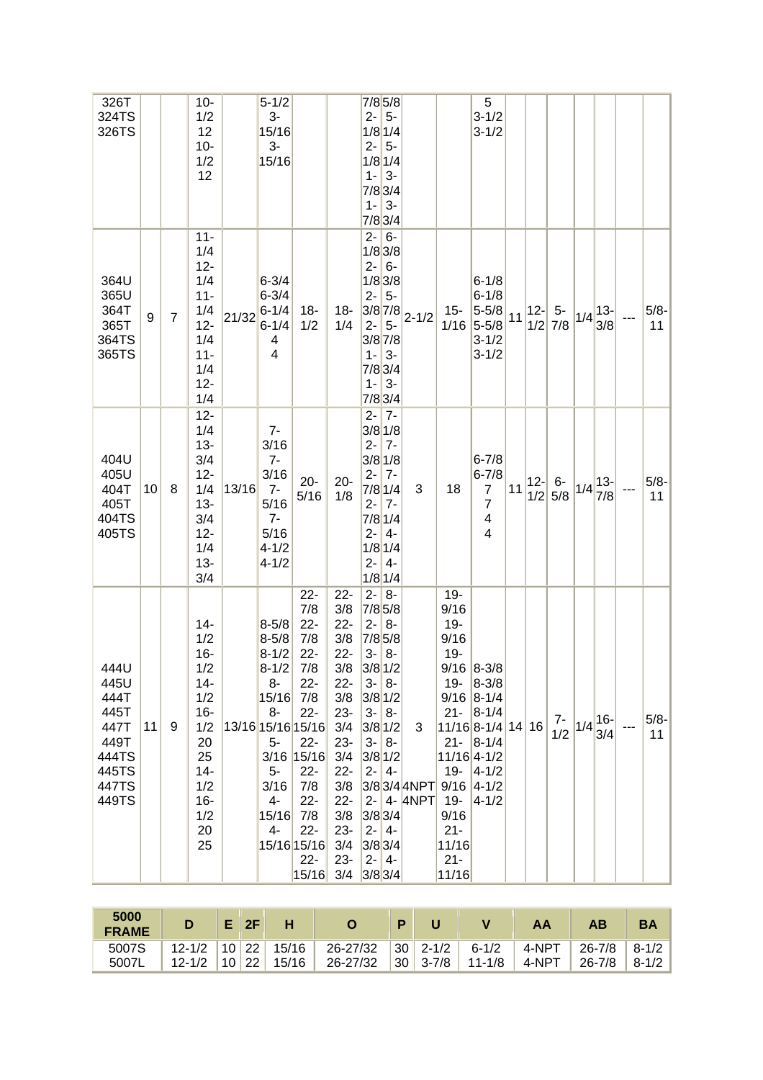| 326T<br>324TS<br>326TS                                                           |                 |                | $10-$<br>1/2<br>12<br>$10-$<br>1/2<br>12                                                                                  |       | $5 - 1/2$<br>$3-$<br>15/16<br>$3-$<br>15/16                                                                            |                                                                                                                                                                                                       |                                                                                                                                                                        | $7/8$ 5/8<br>$2 - 5 -$<br>$1/8$ 1/4<br>$2 - 5 -$<br>$1/8$ 1/4<br>  3-<br>$1 -$<br>$7/8$ 3/4<br>$1 - 3 -$<br>7/8 3/4                                                                                                                                |                 |                                                                                                                               | 5<br>$3 - 1/2$<br>$3 - 1/2$                                                                                                                             |    |        |                   |     |                       |               |
|----------------------------------------------------------------------------------|-----------------|----------------|---------------------------------------------------------------------------------------------------------------------------|-------|------------------------------------------------------------------------------------------------------------------------|-------------------------------------------------------------------------------------------------------------------------------------------------------------------------------------------------------|------------------------------------------------------------------------------------------------------------------------------------------------------------------------|----------------------------------------------------------------------------------------------------------------------------------------------------------------------------------------------------------------------------------------------------|-----------------|-------------------------------------------------------------------------------------------------------------------------------|---------------------------------------------------------------------------------------------------------------------------------------------------------|----|--------|-------------------|-----|-----------------------|---------------|
| 364U<br>365U<br>364T<br>365T<br>364TS<br>365TS                                   | 9               | $\overline{7}$ | $11 -$<br>1/4<br>$12 -$<br>1/4<br>$11 -$<br>1/4<br>$12 -$<br>1/4<br>$11 -$<br>1/4<br>$12 -$<br>1/4                        | 21/32 | $6 - 3/4$<br>$6 - 3/4$<br>$6 - 1/4$<br>$6 - 1/4$<br>4<br>4                                                             | 18-<br>1/2                                                                                                                                                                                            | 18-<br>1/4                                                                                                                                                             | $2 - 6 -$<br>$1/8$ 3/8<br>$2 - 6 -$<br>$1/8$ 3/8<br>$2 - 5$<br>$ 3/8 7/8$ <sub>2-1/2</sub><br>$2 -$<br>$5-$<br>$3/8$ 7/8<br>3-<br>$1 -$<br>7/83/4<br>$ 3-$<br>$1 -$<br>7/83/4                                                                      |                 | $15 -$<br>1/16                                                                                                                | $6 - 1/8$<br>$6 - 1/8$<br>$5 - 5/8$<br>$5 - 5/8$<br>$3 - 1/2$<br>$3 - 1/2$                                                                              | 11 | $ 12-$ | $5-$<br>$1/2$ 7/8 | 1/4 | $13 -$<br>3/8         | $5/8 -$<br>11 |
| 404U<br>405U<br>404T<br>405T<br>404TS<br>405TS                                   | 10 <sup>1</sup> | 8              | $12 -$<br>1/4<br>$13 -$<br>3/4<br>$12 -$<br>1/4<br>$13 -$<br>3/4<br>$12 -$<br>1/4<br>$13 -$<br>3/4                        | 13/16 | $7-$<br>3/16<br>$7-$<br>3/16<br>$7-$<br>5/16<br>$7-$<br>5/16<br>$4 - 1/2$<br>$4 - 1/2$                                 | $20 -$<br>5/16                                                                                                                                                                                        | $20 -$<br>1/8                                                                                                                                                          | $2 - 7$<br>$3/8$ 1/8<br>$2 - 7 -$<br>$3/8$ 1/8<br>$2-$<br>$7-$<br>$7/8$ 1/4<br>$2 - 7 -$<br>$7/8$ 1/4<br>$2 -$<br>$ 4-$<br>$1/8$ 1/4<br>$2 - 4 -$<br>$1/8$ 1/4                                                                                     | 3               | 18                                                                                                                            | $6 - 7/8$<br>$6 - 7/8$<br>$\overline{7}$<br>$\overline{7}$<br>4<br>4                                                                                    | 11 | $ 12-$ | $6-$<br>$1/2$ 5/8 |     | $ 1/4 ^{13}$<br>7/8   | $5/8 -$<br>11 |
| 444U<br>445U<br>444T<br>445T<br>447T<br>449T<br>444TS<br>445TS<br>447TS<br>449TS | 11              | 9              | $14 -$<br>1/2<br>$16-$<br>1/2<br>$14 -$<br>1/2<br>$16 -$<br>1/2<br>20<br>25<br>$14 -$<br>1/2<br>$16 -$<br>1/2<br>20<br>25 |       | $8 - 5/8$<br>$8 - 5/8$<br>$8 - 1/2$<br>$8 - 1/2$<br>8-<br>15/16<br>$8-$<br>$5-$<br>5-<br>3/16<br>$4-$<br>15/16<br>$4-$ | $22 -$<br>7/8<br>$22 -$<br>7/8<br>$22 -$<br>7/8<br>$22 -$<br>7/8<br>$22 -$<br>13/16 15/16 15/16<br>$22 -$<br>3/16 15/16<br>$22 -$<br>7/8<br>$22 -$<br>7/8<br>$22 -$<br>15/16 15/16<br>$22 -$<br>15/16 | $22 -$<br>3/8<br>$22 -$<br>3/8<br>$22 -$<br>3/8<br>$22 -$<br>3/8<br>$23 -$<br>3/4<br>$23 -$<br>3/4<br>$22 -$<br>3/8<br>$22 -$<br>3/8<br>$23 -$<br>3/4<br>$23 -$<br>3/4 | $2 - 8 -$<br>$7/8$ 5/8<br>$2 - 8 -$<br>7/8 5/8<br>$3 - 8 -$<br>$3/8$ 1/2<br>$3 - 8 -$<br>$3/8$ 1/2<br>$3 - 8 -$<br>$3/8$ 1/2<br>$3 - 8 -$<br>$3/8$ 1/2<br>$2 - 4 -$<br>3/83/44NPT<br>$3/8$ 3/4<br>$2 - 4 -$<br>$3/8$ 3/4<br>$2 - 4 -$<br>$3/8$ 3/4 | 3<br>2- 4- 4NPT | $19 -$<br>9/16<br>$19 -$<br>9/16<br>$19 -$<br>19-<br>$21 -$<br>$19 -$<br>$19 -$<br>9/16<br>$21 -$<br>11/16<br>$21 -$<br>11/16 | $9/16$ 8-3/8<br>$ 8-3/8 $<br>$9/16$ 8-1/4<br>$8 - 1/4$<br>11/168-1/41416<br>$21 -  8 - 1/4 $<br>11/16 4-1/2<br>$ 4 - 1/2 $<br>$9/16$ 4-1/2<br>$4 - 1/2$ |    |        | $7-$<br>1/2       |     | $ 1/4 ^{16-1}$<br>3/4 | $5/8 -$<br>11 |

| 5000<br><b>FRAME</b> |            |           |       |          |                 |                                           |            |       |            |           |
|----------------------|------------|-----------|-------|----------|-----------------|-------------------------------------------|------------|-------|------------|-----------|
| 5007S                | $12 - 1/2$ | $10$   22 | 15/16 | 26-27/32 | 30 <sup>1</sup> | $^{\circ}$ 2-1/2 $\overline{\phantom{a}}$ | $6 - 1/2$  | 4-NPT | $26 - 7/8$ | $8 - 1/2$ |
| 5007                 | $12 - 1/2$ | 10 22     | 15/16 | 26-27/32 | 30 <sub>1</sub> | $3 - 7/8$                                 | $11 - 1/8$ | 4-NPT | 26-7/8     | $8 - 1/2$ |